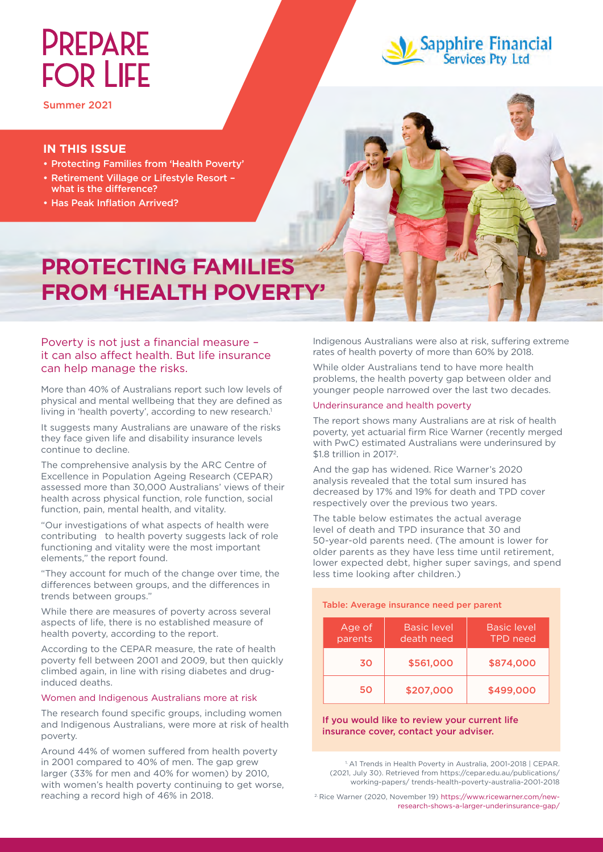# **PREPARE FOR LIFE**



# **Sapphire Financial**<br>Services Pty Ltd

#### **IN THIS ISSUE**

- • Protecting Families from 'Health Poverty'
- • Retirement Village or Lifestyle Resort what is the difference?
- Has Peak Inflation Arrived?

## **PROTECTING FAMILIES FROM 'HEALTH POVERTY'**

#### Poverty is not just a financial measure – it can also affect health. But life insurance can help manage the risks.

More than 40% of Australians report such low levels of physical and mental wellbeing that they are defined as living in 'health poverty', according to new research.<sup>1</sup>

It suggests many Australians are unaware of the risks they face given life and disability insurance levels continue to decline.

The comprehensive analysis by the ARC Centre of Excellence in Population Ageing Research (CEPAR) assessed more than 30,000 Australians' views of their health across physical function, role function, social function, pain, mental health, and vitality.

"Our investigations of what aspects of health were contributing to health poverty suggests lack of role functioning and vitality were the most important elements," the report found.

"They account for much of the change over time, the differences between groups, and the differences in trends between groups."

While there are measures of poverty across several aspects of life, there is no established measure of health poverty, according to the report.

According to the CEPAR measure, the rate of health poverty fell between 2001 and 2009, but then quickly climbed again, in line with rising diabetes and druginduced deaths.

#### Women and Indigenous Australians more at risk

The research found specific groups, including women and Indigenous Australians, were more at risk of health poverty.

Around 44% of women suffered from health poverty in 2001 compared to 40% of men. The gap grew larger (33% for men and 40% for women) by 2010, with women's health poverty continuing to get worse, reaching a record high of 46% in 2018.

Indigenous Australians were also at risk, suffering extreme rates of health poverty of more than 60% by 2018.

While older Australians tend to have more health problems, the health poverty gap between older and younger people narrowed over the last two decades.

#### Underinsurance and health poverty

The report shows many Australians are at risk of health poverty, yet actuarial firm Rice Warner (recently merged with PwC) estimated Australians were underinsured by \$1.8 trillion in 2017<sup>2</sup>.

And the gap has widened. Rice Warner's 2020 analysis revealed that the total sum insured has decreased by 17% and 19% for death and TPD cover respectively over the previous two years.

The table below estimates the actual average level of death and TPD insurance that 30 and 50-year-old parents need. (The amount is lower for older parents as they have less time until retirement, lower expected debt, higher super savings, and spend less time looking after children.)

#### Table: Average insurance need per parent

| Age of<br>parents | <b>Basic level</b><br>death need | Basic level<br>TPD need |
|-------------------|----------------------------------|-------------------------|
| 30                | \$561,000                        | \$874,000               |
| 50                | \$207,000                        | \$499,000               |

#### If you would like to review your current life insurance cover, contact your adviser.

<sup>1</sup> A1 Trends in Health Poverty in Australia, 2001-2018 | CEPAR. (2021, July 30). Retrieved from https://cepar.edu.au/publications/ working-papers/ trends-health-poverty-australia-2001-2018

2. Rice Warner (2020, November 19) https://www.ricewarner.com/newresearch-shows-a-larger-underinsurance-gap/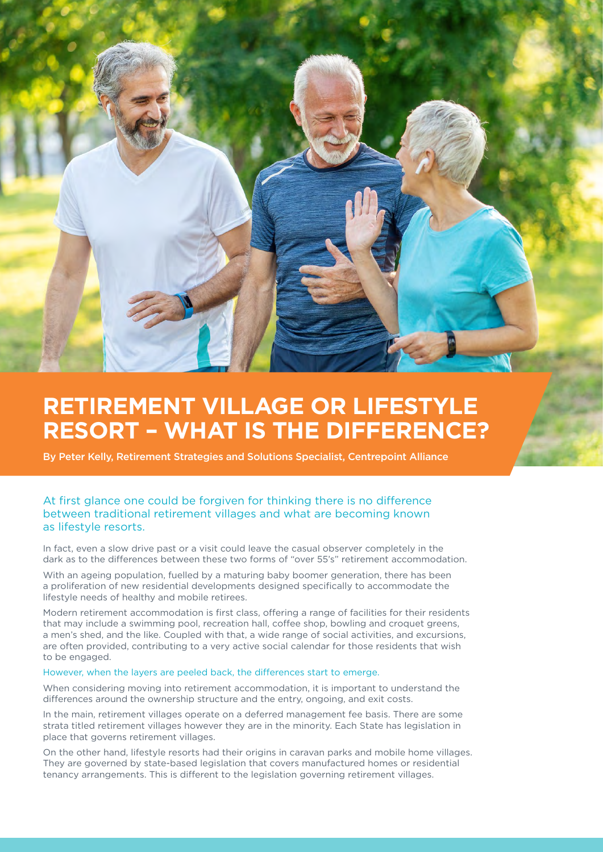

## **RETIREMENT VILLAGE OR LIFESTYLE RESORT – WHAT IS THE DIFFERENCE?**

By Peter Kelly, Retirement Strategies and Solutions Specialist, Centrepoint Alliance

#### At first glance one could be forgiven for thinking there is no difference between traditional retirement villages and what are becoming known as lifestyle resorts.

In fact, even a slow drive past or a visit could leave the casual observer completely in the dark as to the differences between these two forms of "over 55's" retirement accommodation.

With an ageing population, fuelled by a maturing baby boomer generation, there has been a proliferation of new residential developments designed specifically to accommodate the lifestyle needs of healthy and mobile retirees.

Modern retirement accommodation is first class, offering a range of facilities for their residents that may include a swimming pool, recreation hall, coffee shop, bowling and croquet greens, a men's shed, and the like. Coupled with that, a wide range of social activities, and excursions, are often provided, contributing to a very active social calendar for those residents that wish to be engaged.

#### However, when the layers are peeled back, the differences start to emerge.

When considering moving into retirement accommodation, it is important to understand the differences around the ownership structure and the entry, ongoing, and exit costs.

In the main, retirement villages operate on a deferred management fee basis. There are some strata titled retirement villages however they are in the minority. Each State has legislation in place that governs retirement villages.

On the other hand, lifestyle resorts had their origins in caravan parks and mobile home villages. They are governed by state-based legislation that covers manufactured homes or residential tenancy arrangements. This is different to the legislation governing retirement villages.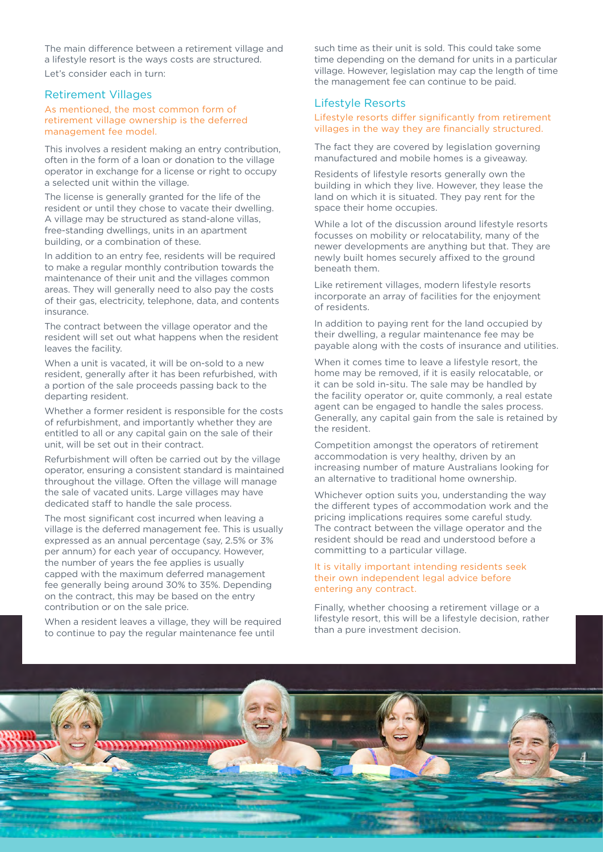The main difference between a retirement village and a lifestyle resort is the ways costs are structured. Let's consider each in turn:

#### Retirement Villages

As mentioned, the most common form of retirement village ownership is the deferred management fee model.

This involves a resident making an entry contribution, often in the form of a loan or donation to the village operator in exchange for a license or right to occupy a selected unit within the village.

The license is generally granted for the life of the resident or until they chose to vacate their dwelling. A village may be structured as stand-alone villas, free-standing dwellings, units in an apartment building, or a combination of these.

In addition to an entry fee, residents will be required to make a regular monthly contribution towards the maintenance of their unit and the villages common areas. They will generally need to also pay the costs of their gas, electricity, telephone, data, and contents insurance.

The contract between the village operator and the resident will set out what happens when the resident leaves the facility.

When a unit is vacated, it will be on-sold to a new resident, generally after it has been refurbished, with a portion of the sale proceeds passing back to the departing resident.

Whether a former resident is responsible for the costs of refurbishment, and importantly whether they are entitled to all or any capital gain on the sale of their unit, will be set out in their contract.

Refurbishment will often be carried out by the village operator, ensuring a consistent standard is maintained throughout the village. Often the village will manage the sale of vacated units. Large villages may have dedicated staff to handle the sale process.

The most significant cost incurred when leaving a village is the deferred management fee. This is usually expressed as an annual percentage (say, 2.5% or 3% per annum) for each year of occupancy. However, the number of years the fee applies is usually capped with the maximum deferred management fee generally being around 30% to 35%. Depending on the contract, this may be based on the entry contribution or on the sale price.

When a resident leaves a village, they will be required to continue to pay the regular maintenance fee until

such time as their unit is sold. This could take some time depending on the demand for units in a particular village. However, legislation may cap the length of time the management fee can continue to be paid.

#### Lifestyle Resorts

#### Lifestyle resorts differ significantly from retirement villages in the way they are financially structured.

The fact they are covered by legislation governing manufactured and mobile homes is a giveaway.

Residents of lifestyle resorts generally own the building in which they live. However, they lease the land on which it is situated. They pay rent for the space their home occupies.

While a lot of the discussion around lifestyle resorts focusses on mobility or relocatability, many of the newer developments are anything but that. They are newly built homes securely affixed to the ground beneath them.

Like retirement villages, modern lifestyle resorts incorporate an array of facilities for the enjoyment of residents.

In addition to paying rent for the land occupied by their dwelling, a regular maintenance fee may be payable along with the costs of insurance and utilities.

When it comes time to leave a lifestyle resort, the home may be removed, if it is easily relocatable, or it can be sold in-situ. The sale may be handled by the facility operator or, quite commonly, a real estate agent can be engaged to handle the sales process. Generally, any capital gain from the sale is retained by the resident.

Competition amongst the operators of retirement accommodation is very healthy, driven by an increasing number of mature Australians looking for an alternative to traditional home ownership.

Whichever option suits you, understanding the way the different types of accommodation work and the pricing implications requires some careful study. The contract between the village operator and the resident should be read and understood before a committing to a particular village.

#### It is vitally important intending residents seek their own independent legal advice before entering any contract.

Finally, whether choosing a retirement village or a lifestyle resort, this will be a lifestyle decision, rather than a pure investment decision.